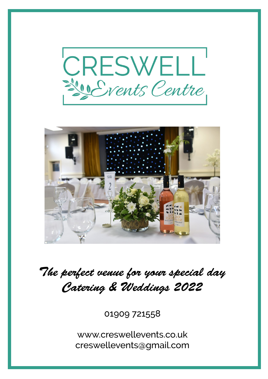



*The perfect venue for your special day Catering & Weddings 2022*

01909 721558

www.creswellevents.co.uk creswellevents@gmail.com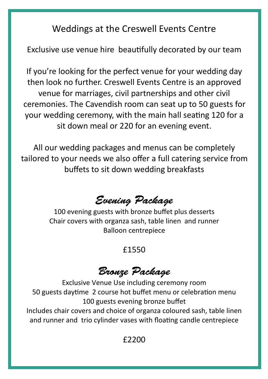Weddings at the Creswell Events Centre

Exclusive use venue hire beautifully decorated by our team

If you're looking for the perfect venue for your wedding day then look no further. Creswell Events Centre is an approved venue for marriages, civil partnerships and other civil ceremonies. The Cavendish room can seat up to 50 guests for your wedding ceremony, with the main hall seating 120 for a sit down meal or 220 for an evening event.

All our wedding packages and menus can be completely tailored to your needs we also offer a full catering service from buffets to sit down wedding breakfasts

# *Evening Package*

100 evening guests with bronze buffet plus desserts Chair covers with organza sash, table linen and runner Balloon centrepiece

#### £1550

# *Bronze Package*

Exclusive Venue Use including ceremony room 50 guests daytime 2 course hot buffet menu or celebration menu 100 guests evening bronze buffet Includes chair covers and choice of organza coloured sash, table linen and runner and trio cylinder vases with floating candle centrepiece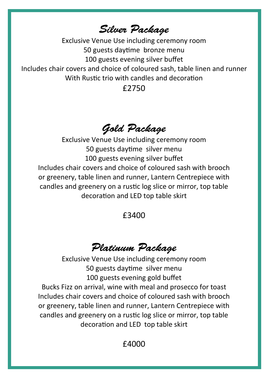*Silver Package*

Exclusive Venue Use including ceremony room 50 guests daytime bronze menu 100 guests evening silver buffet Includes chair covers and choice of coloured sash, table linen and runner With Rustic trio with candles and decoration

£2750

# *Gold Package*

Exclusive Venue Use including ceremony room 50 guests daytime silver menu 100 guests evening silver buffet Includes chair covers and choice of coloured sash with brooch or greenery, table linen and runner, Lantern Centrepiece with candles and greenery on a rustic log slice or mirror, top table decoration and LED top table skirt

#### £3400

# *Platinum Package*

Exclusive Venue Use including ceremony room 50 guests daytime silver menu 100 guests evening gold buffet Bucks Fizz on arrival, wine with meal and prosecco for toast Includes chair covers and choice of coloured sash with brooch or greenery, table linen and runner, Lantern Centrepiece with candles and greenery on a rustic log slice or mirror, top table decoration and LED top table skirt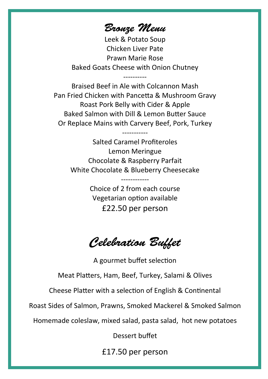*Bronze Menu*

Leek & Potato Soup Chicken Liver Pate Prawn Marie Rose Baked Goats Cheese with Onion Chutney

----------

Braised Beef in Ale with Colcannon Mash Pan Fried Chicken with Pancetta & Mushroom Gravy Roast Pork Belly with Cider & Apple Baked Salmon with Dill & Lemon Butter Sauce Or Replace Mains with Carvery Beef, Pork, Turkey

> Salted Caramel Profiteroles Lemon Meringue Chocolate & Raspberry Parfait White Chocolate & Blueberry Cheesecake

-----------

Choice of 2 from each course Vegetarian option available £22.50 per person

------------

*Celebration Buffet*

A gourmet buffet selection

Meat Platters, Ham, Beef, Turkey, Salami & Olives

Cheese Platter with a selection of English & Continental

Roast Sides of Salmon, Prawns, Smoked Mackerel & Smoked Salmon

Homemade coleslaw, mixed salad, pasta salad, hot new potatoes

Dessert buffet

£17.50 per person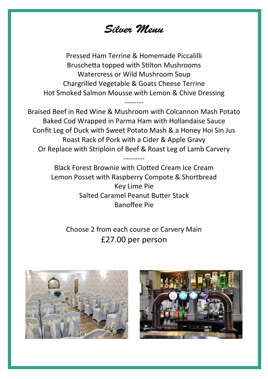*Silver Menu*

Pressed Ham Terrine & Homemade Piccalilli Bruschetta topped with Stilton Mushrooms Watercress or Wild Mushroom Soup Chargrilled Vegetable & Goats Cheese Terrine Hot Smoked Salmon Mousse with Lemon & Chive Dressing

--------

Braised Beef in Red Wine & Mushroom with Colcannon Mash Potato Baked Cod Wrapped in Parma Ham with Hollandaise Sauce Confit Leg of Duck with Sweet Potato Mash & a Honey Hoi Sin Jus Roast Rack of Pork with a Cider & Apple Gravy Or Replace with Striploin of Beef & Roast Leg of Lamb Carvery

---------

Black Forest Brownie with Clotted Cream Ice Cream Lemon Posset with Raspberry Compote & Shortbread Key Lime Pie Salted Caramel Peanut Butter Stack Banoffee Pie

Choose 2 from each course or Carvery Main £27.00 per person



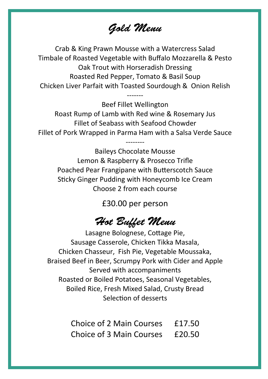*Gold Menu*

Crab & King Prawn Mousse with a Watercress Salad Timbale of Roasted Vegetable with Buffalo Mozzarella & Pesto Oak Trout with Horseradish Dressing Roasted Red Pepper, Tomato & Basil Soup Chicken Liver Parfait with Toasted Sourdough & Onion Relish

> ------- Beef Fillet Wellington

Roast Rump of Lamb with Red wine & Rosemary Jus Fillet of Seabass with Seafood Chowder Fillet of Pork Wrapped in Parma Ham with a Salsa Verde Sauce

--------

Baileys Chocolate Mousse Lemon & Raspberry & Prosecco Trifle Poached Pear Frangipane with Butterscotch Sauce Sticky Ginger Pudding with Honeycomb Ice Cream Choose 2 from each course

£30.00 per person

### *Hot Buffet Menu*

Lasagne Bolognese, Cottage Pie, Sausage Casserole, Chicken Tikka Masala, Chicken Chasseur, Fish Pie, Vegetable Moussaka, Braised Beef in Beer, Scrumpy Pork with Cider and Apple Served with accompaniments Roasted or Boiled Potatoes, Seasonal Vegetables, Boiled Rice, Fresh Mixed Salad, Crusty Bread Selection of desserts

| <b>Choice of 2 Main Courses</b> | £17.50 |
|---------------------------------|--------|
| <b>Choice of 3 Main Courses</b> | £20.50 |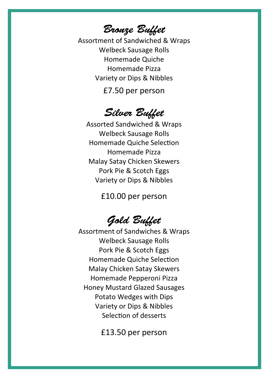*Bronze Buffet*

Assortment of Sandwiched & Wraps Welbeck Sausage Rolls Homemade Quiche Homemade Pizza Variety or Dips & Nibbles

£7.50 per person

### *Silver Buffet*

Assorted Sandwiched & Wraps Welbeck Sausage Rolls Homemade Quiche Selection Homemade Pizza Malay Satay Chicken Skewers Pork Pie & Scotch Eggs Variety or Dips & Nibbles

£10.00 per person

# *Gold Buffet*

Assortment of Sandwiches & Wraps Welbeck Sausage Rolls Pork Pie & Scotch Eggs Homemade Quiche Selection Malay Chicken Satay Skewers Homemade Pepperoni Pizza Honey Mustard Glazed Sausages Potato Wedges with Dips Variety or Dips & Nibbles Selection of desserts

£13.50 per person